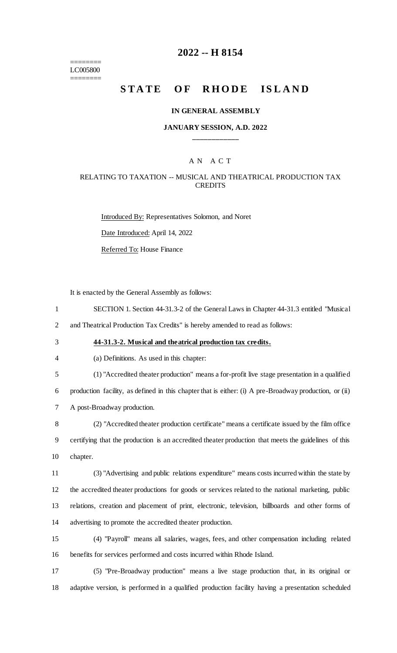======== LC005800 ========

### **2022 -- H 8154**

# **STATE OF RHODE ISLAND**

#### **IN GENERAL ASSEMBLY**

### **JANUARY SESSION, A.D. 2022 \_\_\_\_\_\_\_\_\_\_\_\_**

### A N A C T

### RELATING TO TAXATION -- MUSICAL AND THEATRICAL PRODUCTION TAX **CREDITS**

Introduced By: Representatives Solomon, and Noret Date Introduced: April 14, 2022 Referred To: House Finance

It is enacted by the General Assembly as follows:

- 1 SECTION 1. Section 44-31.3-2 of the General Laws in Chapter 44-31.3 entitled "Musical
- 2 and Theatrical Production Tax Credits" is hereby amended to read as follows:
- 

### 3 **44-31.3-2. Musical and theatrical production tax credits.**

- 4 (a) Definitions. As used in this chapter:
- 5 (1) "Accredited theater production" means a for-profit live stage presentation in a qualified

6 production facility, as defined in this chapter that is either: (i) A pre-Broadway production, or (ii) 7 A post-Broadway production.

8 (2) "Accredited theater production certificate" means a certificate issued by the film office 9 certifying that the production is an accredited theater production that meets the guidelines of this 10 chapter.

 (3) "Advertising and public relations expenditure" means costs incurred within the state by the accredited theater productions for goods or services related to the national marketing, public relations, creation and placement of print, electronic, television, billboards and other forms of advertising to promote the accredited theater production.

15 (4) "Payroll" means all salaries, wages, fees, and other compensation including related 16 benefits for services performed and costs incurred within Rhode Island.

17 (5) "Pre-Broadway production" means a live stage production that, in its original or 18 adaptive version, is performed in a qualified production facility having a presentation scheduled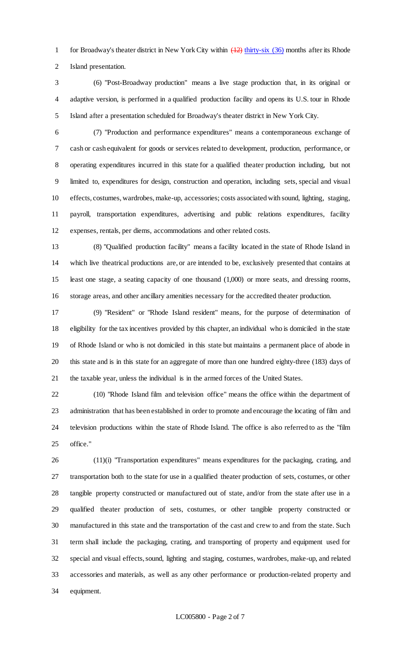1 for Broadway's theater district in New York City within  $(12)$  thirty-six (36) months after its Rhode Island presentation.

- (6) "Post-Broadway production" means a live stage production that, in its original or adaptive version, is performed in a qualified production facility and opens its U.S. tour in Rhode Island after a presentation scheduled for Broadway's theater district in New York City.
- 

 (7) "Production and performance expenditures" means a contemporaneous exchange of cash or cash equivalent for goods or services related to development, production, performance, or operating expenditures incurred in this state for a qualified theater production including, but not limited to, expenditures for design, construction and operation, including sets, special and visual effects, costumes, wardrobes, make-up, accessories; costs associated with sound, lighting, staging, payroll, transportation expenditures, advertising and public relations expenditures, facility expenses, rentals, per diems, accommodations and other related costs.

 (8) "Qualified production facility" means a facility located in the state of Rhode Island in which live theatrical productions are, or are intended to be, exclusively presented that contains at least one stage, a seating capacity of one thousand (1,000) or more seats, and dressing rooms, storage areas, and other ancillary amenities necessary for the accredited theater production.

 (9) "Resident" or "Rhode Island resident" means, for the purpose of determination of eligibility for the tax incentives provided by this chapter, an individual who is domiciled in the state of Rhode Island or who is not domiciled in this state but maintains a permanent place of abode in this state and is in this state for an aggregate of more than one hundred eighty-three (183) days of the taxable year, unless the individual is in the armed forces of the United States.

 (10) "Rhode Island film and television office" means the office within the department of administration that has been established in order to promote and encourage the locating of film and television productions within the state of Rhode Island. The office is also referred to as the "film office."

 (11)(i) "Transportation expenditures" means expenditures for the packaging, crating, and transportation both to the state for use in a qualified theater production of sets, costumes, or other tangible property constructed or manufactured out of state, and/or from the state after use in a qualified theater production of sets, costumes, or other tangible property constructed or manufactured in this state and the transportation of the cast and crew to and from the state. Such term shall include the packaging, crating, and transporting of property and equipment used for special and visual effects, sound, lighting and staging, costumes, wardrobes, make-up, and related accessories and materials, as well as any other performance or production-related property and equipment.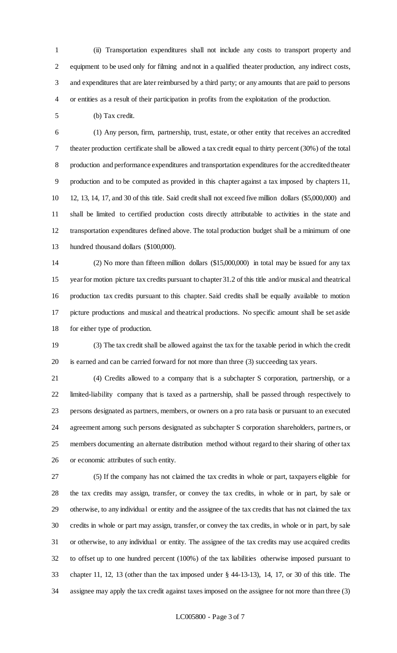(ii) Transportation expenditures shall not include any costs to transport property and equipment to be used only for filming and not in a qualified theater production, any indirect costs, and expenditures that are later reimbursed by a third party; or any amounts that are paid to persons or entities as a result of their participation in profits from the exploitation of the production.

(b) Tax credit.

 (1) Any person, firm, partnership, trust, estate, or other entity that receives an accredited theater production certificate shall be allowed a tax credit equal to thirty percent (30%) of the total production and performance expenditures and transportation expenditures for the accredited theater production and to be computed as provided in this chapter against a tax imposed by chapters 11, 12, 13, 14, 17, and 30 of this title. Said credit shall not exceed five million dollars (\$5,000,000) and shall be limited to certified production costs directly attributable to activities in the state and transportation expenditures defined above. The total production budget shall be a minimum of one hundred thousand dollars (\$100,000).

 (2) No more than fifteen million dollars (\$15,000,000) in total may be issued for any tax year for motion picture tax credits pursuant to chapter 31.2 of this title and/or musical and theatrical production tax credits pursuant to this chapter. Said credits shall be equally available to motion picture productions and musical and theatrical productions. No specific amount shall be set aside for either type of production.

 (3) The tax credit shall be allowed against the tax for the taxable period in which the credit is earned and can be carried forward for not more than three (3) succeeding tax years.

 (4) Credits allowed to a company that is a subchapter S corporation, partnership, or a limited-liability company that is taxed as a partnership, shall be passed through respectively to persons designated as partners, members, or owners on a pro rata basis or pursuant to an executed agreement among such persons designated as subchapter S corporation shareholders, partners, or members documenting an alternate distribution method without regard to their sharing of other tax or economic attributes of such entity.

 (5) If the company has not claimed the tax credits in whole or part, taxpayers eligible for the tax credits may assign, transfer, or convey the tax credits, in whole or in part, by sale or otherwise, to any individual or entity and the assignee of the tax credits that has not claimed the tax credits in whole or part may assign, transfer, or convey the tax credits, in whole or in part, by sale or otherwise, to any individual or entity. The assignee of the tax credits may use acquired credits to offset up to one hundred percent (100%) of the tax liabilities otherwise imposed pursuant to chapter 11, 12, 13 (other than the tax imposed under § 44-13-13), 14, 17, or 30 of this title. The assignee may apply the tax credit against taxes imposed on the assignee for not more than three (3)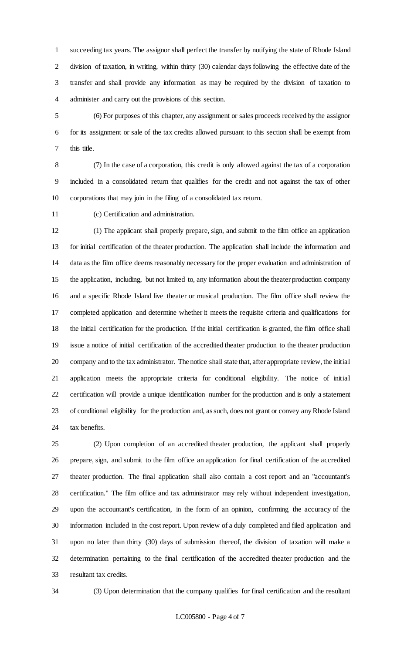succeeding tax years. The assignor shall perfect the transfer by notifying the state of Rhode Island division of taxation, in writing, within thirty (30) calendar days following the effective date of the transfer and shall provide any information as may be required by the division of taxation to administer and carry out the provisions of this section.

 (6) For purposes of this chapter, any assignment or sales proceeds received by the assignor for its assignment or sale of the tax credits allowed pursuant to this section shall be exempt from this title.

 (7) In the case of a corporation, this credit is only allowed against the tax of a corporation included in a consolidated return that qualifies for the credit and not against the tax of other corporations that may join in the filing of a consolidated tax return.

(c) Certification and administration.

 (1) The applicant shall properly prepare, sign, and submit to the film office an application for initial certification of the theater production. The application shall include the information and data as the film office deems reasonably necessary for the proper evaluation and administration of the application, including, but not limited to, any information about the theater production company and a specific Rhode Island live theater or musical production. The film office shall review the completed application and determine whether it meets the requisite criteria and qualifications for the initial certification for the production. If the initial certification is granted, the film office shall issue a notice of initial certification of the accredited theater production to the theater production company and to the tax administrator. The notice shall state that, after appropriate review, the initial application meets the appropriate criteria for conditional eligibility. The notice of initial certification will provide a unique identification number for the production and is only a statement of conditional eligibility for the production and, as such, does not grant or convey any Rhode Island tax benefits.

 (2) Upon completion of an accredited theater production, the applicant shall properly prepare, sign, and submit to the film office an application for final certification of the accredited theater production. The final application shall also contain a cost report and an "accountant's certification." The film office and tax administrator may rely without independent investigation, upon the accountant's certification, in the form of an opinion, confirming the accuracy of the information included in the cost report. Upon review of a duly completed and filed application and upon no later than thirty (30) days of submission thereof, the division of taxation will make a determination pertaining to the final certification of the accredited theater production and the resultant tax credits.

(3) Upon determination that the company qualifies for final certification and the resultant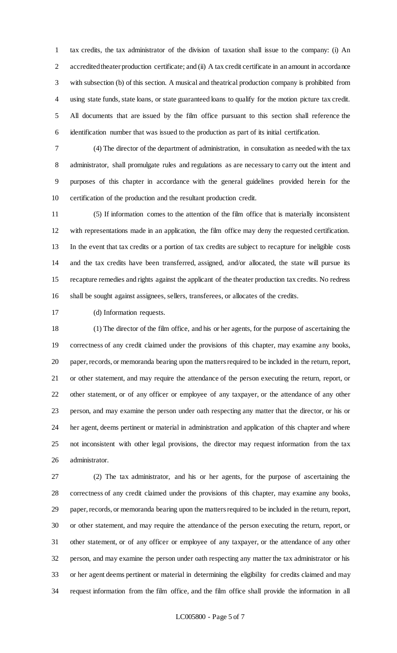tax credits, the tax administrator of the division of taxation shall issue to the company: (i) An 2 accredited theater production certificate; and (ii) A tax credit certificate in an amount in accordance with subsection (b) of this section. A musical and theatrical production company is prohibited from using state funds, state loans, or state guaranteed loans to qualify for the motion picture tax credit. All documents that are issued by the film office pursuant to this section shall reference the identification number that was issued to the production as part of its initial certification.

 (4) The director of the department of administration, in consultation as needed with the tax administrator, shall promulgate rules and regulations as are necessary to carry out the intent and purposes of this chapter in accordance with the general guidelines provided herein for the certification of the production and the resultant production credit.

 (5) If information comes to the attention of the film office that is materially inconsistent with representations made in an application, the film office may deny the requested certification. In the event that tax credits or a portion of tax credits are subject to recapture for ineligible costs and the tax credits have been transferred, assigned, and/or allocated, the state will pursue its recapture remedies and rights against the applicant of the theater production tax credits. No redress shall be sought against assignees, sellers, transferees, or allocates of the credits.

(d) Information requests.

 (1) The director of the film office, and his or her agents, for the purpose of ascertaining the correctness of any credit claimed under the provisions of this chapter, may examine any books, paper, records, or memoranda bearing upon the matters required to be included in the return, report, or other statement, and may require the attendance of the person executing the return, report, or other statement, or of any officer or employee of any taxpayer, or the attendance of any other person, and may examine the person under oath respecting any matter that the director, or his or her agent, deems pertinent or material in administration and application of this chapter and where not inconsistent with other legal provisions, the director may request information from the tax administrator.

 (2) The tax administrator, and his or her agents, for the purpose of ascertaining the correctness of any credit claimed under the provisions of this chapter, may examine any books, paper, records, or memoranda bearing upon the matters required to be included in the return, report, or other statement, and may require the attendance of the person executing the return, report, or other statement, or of any officer or employee of any taxpayer, or the attendance of any other person, and may examine the person under oath respecting any matter the tax administrator or his or her agent deems pertinent or material in determining the eligibility for credits claimed and may request information from the film office, and the film office shall provide the information in all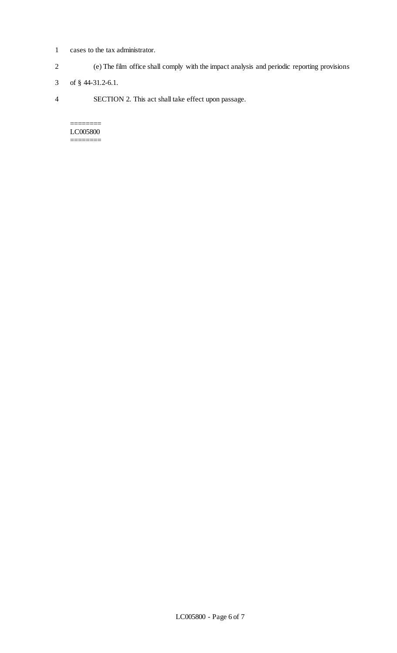- 1 cases to the tax administrator.
- 2 (e) The film office shall comply with the impact analysis and periodic reporting provisions
- 3 of § 44-31.2-6.1.
- 4 SECTION 2. This act shall take effect upon passage.

======== LC005800 ========